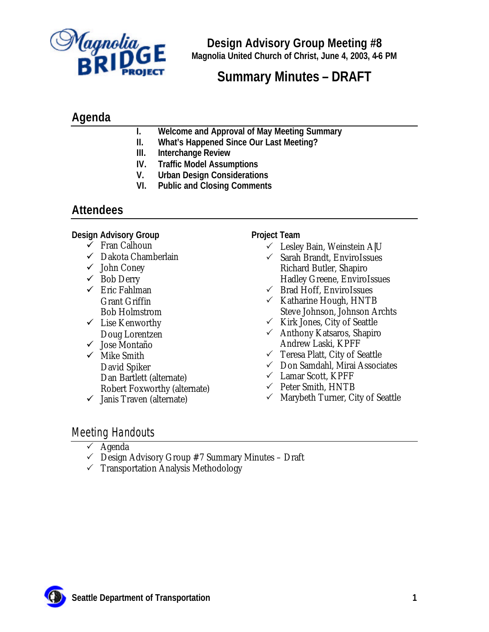

**Design Advisory Group Meeting #8 Magnolia United Church of Christ, June 4, 2003, 4-6 PM**

# **Summary Minutes – DRAFT**

# **Agenda**

- **I. Welcome and Approval of May Meeting Summary**
- **II. What's Happened Since Our Last Meeting?**
- **III. Interchange Review**
- **IV. Traffic Model Assumptions**
- **V. Urban Design Considerations**
- **VI. Public and Closing Comments**

## **Attendees**

**Design Advisory Group**

- $\checkmark$  Fran Calhoun
- $\checkmark$  Dakota Chamberlain
- $\checkmark$  John Coney
- $\checkmark$  Bob Derry
- $\checkmark$  Eric Fahlman Grant Griffin Bob Holmstrom
- $\checkmark$  Lise Kenworthy Doug Lorentzen
- $\checkmark$  Jose Montaño
- $\checkmark$  Mike Smith David Spiker Dan Bartlett (alternate) Robert Foxworthy (alternate)
- $\checkmark$  Janis Traven (alternate)

**Project Team**

- $\checkmark$  Lesley Bain, Weinstein A|U
- $\checkmark$  Sarah Brandt, EnviroIssues Richard Butler, Shapiro Hadley Greene, EnviroIssues
- $\checkmark$  Brad Hoff, EnviroIssues
- $\checkmark$  Katharine Hough, HNTB Steve Johnson, Johnson Archts
- $\checkmark$  Kirk Jones, City of Seattle
- $\checkmark$  Anthony Katsaros, Shapiro Andrew Laski, KPFF
- $\checkmark$  Teresa Platt, City of Seattle
- $\checkmark$  Don Samdahl, Mirai Associates
- $\checkmark$  Lamar Scott, KPFF
- $\checkmark$  Peter Smith, HNTB
- $\checkmark$  Marybeth Turner, City of Seattle

# Meeting Handouts

- $\checkmark$  Agenda
- $\checkmark$  Design Advisory Group #7 Summary Minutes Draft
- $\checkmark$  Transportation Analysis Methodology

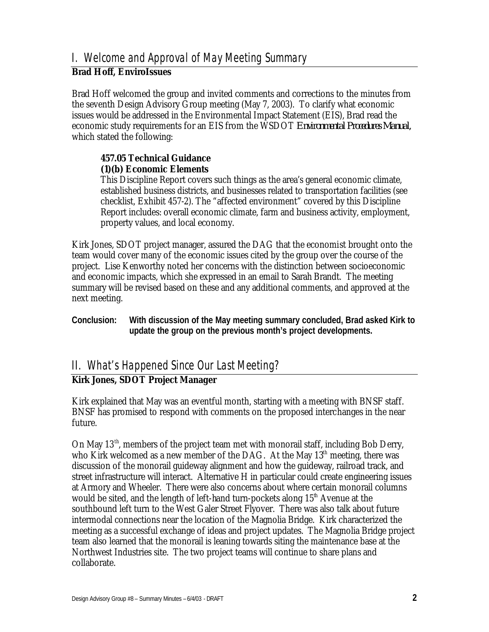### **Brad Hoff, EnviroIssues**

Brad Hoff welcomed the group and invited comments and corrections to the minutes from the seventh Design Advisory Group meeting (May 7, 2003). To clarify what economic issues would be addressed in the Environmental Impact Statement (EIS), Brad read the economic study requirements for an EIS from the WSDOT *Environmental Procedures Manual,*  which stated the following:

#### **457.05 Technical Guidance (1)(b) Economic Elements**

This Discipline Report covers such things as the area's general economic climate, established business districts, and businesses related to transportation facilities (see checklist, Exhibit 457-2). The "affected environment" covered by this Discipline Report includes: overall economic climate, farm and business activity, employment, property values, and local economy.

Kirk Jones, SDOT project manager, assured the DAG that the economist brought onto the team would cover many of the economic issues cited by the group over the course of the project. Lise Kenworthy noted her concerns with the distinction between socioeconomic and economic impacts, which she expressed in an email to Sarah Brandt. The meeting summary will be revised based on these and any additional comments, and approved at the next meeting.

#### **Conclusion: With discussion of the May meeting summary concluded, Brad asked Kirk to update the group on the previous month's project developments.**

# II. What's Happened Since Our Last Meeting?

### **Kirk Jones, SDOT Project Manager**

Kirk explained that May was an eventful month, starting with a meeting with BNSF staff. BNSF has promised to respond with comments on the proposed interchanges in the near future.

On May 13<sup>th</sup>, members of the project team met with monorail staff, including Bob Derry, who Kirk welcomed as a new member of the DAG. At the May  $13<sup>th</sup>$  meeting, there was discussion of the monorail guideway alignment and how the guideway, railroad track, and street infrastructure will interact. Alternative H in particular could create engineering issues at Armory and Wheeler. There were also concerns about where certain monorail columns would be sited, and the length of left-hand turn-pockets along  $15<sup>th</sup>$  Avenue at the southbound left turn to the West Galer Street Flyover. There was also talk about future intermodal connections near the location of the Magnolia Bridge. Kirk characterized the meeting as a successful exchange of ideas and project updates. The Magnolia Bridge project team also learned that the monorail is leaning towards siting the maintenance base at the Northwest Industries site. The two project teams will continue to share plans and collaborate.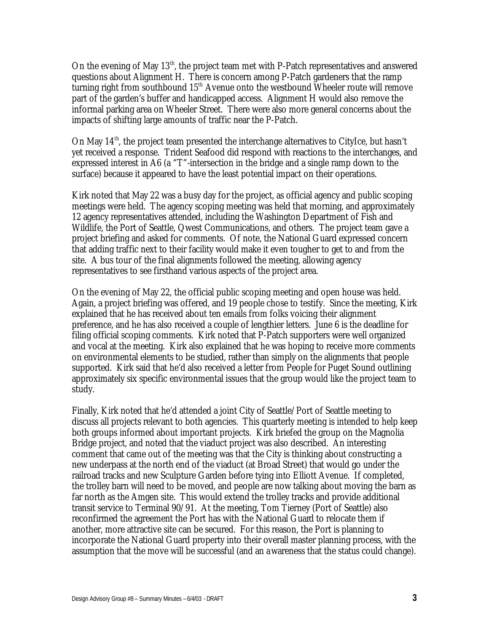On the evening of May 13<sup>th</sup>, the project team met with P-Patch representatives and answered questions about Alignment H. There is concern among P-Patch gardeners that the ramp turning right from southbound 15<sup>th</sup> Avenue onto the westbound Wheeler route will remove part of the garden's buffer and handicapped access. Alignment H would also remove the informal parking area on Wheeler Street. There were also more general concerns about the impacts of shifting large amounts of traffic near the P-Patch.

On May 14<sup>th</sup>, the project team presented the interchange alternatives to CityIce, but hasn't yet received a response. Trident Seafood did respond with reactions to the interchanges, and expressed interest in A6 (a "T"-intersection in the bridge and a single ramp down to the surface) because it appeared to have the least potential impact on their operations.

Kirk noted that May 22 was a busy day for the project, as official agency and public scoping meetings were held. The agency scoping meeting was held that morning, and approximately 12 agency representatives attended, including the Washington Department of Fish and Wildlife, the Port of Seattle, Qwest Communications, and others. The project team gave a project briefing and asked for comments. Of note, the National Guard expressed concern that adding traffic next to their facility would make it even tougher to get to and from the site. A bus tour of the final alignments followed the meeting, allowing agency representatives to see firsthand various aspects of the project area.

On the evening of May 22, the official public scoping meeting and open house was held. Again, a project briefing was offered, and 19 people chose to testify. Since the meeting, Kirk explained that he has received about ten emails from folks voicing their alignment preference, and he has also received a couple of lengthier letters. June 6 is the deadline for filing official scoping comments. Kirk noted that P-Patch supporters were well organized and vocal at the meeting. Kirk also explained that he was hoping to receive more comments on environmental elements to be studied, rather than simply on the alignments that people supported. Kirk said that he'd also received a letter from People for Puget Sound outlining approximately six specific environmental issues that the group would like the project team to study.

Finally, Kirk noted that he'd attended a joint City of Seattle/Port of Seattle meeting to discuss all projects relevant to both agencies. This quarterly meeting is intended to help keep both groups informed about important projects. Kirk briefed the group on the Magnolia Bridge project, and noted that the viaduct project was also described. An interesting comment that came out of the meeting was that the City is thinking about constructing a new underpass at the north end of the viaduct (at Broad Street) that would go under the railroad tracks and new Sculpture Garden before tying into Elliott Avenue. If completed, the trolley barn will need to be moved, and people are now talking about moving the barn as far north as the Amgen site. This would extend the trolley tracks and provide additional transit service to Terminal 90/91. At the meeting, Tom Tierney (Port of Seattle) also reconfirmed the agreement the Port has with the National Guard to relocate them if another, more attractive site can be secured. For this reason, the Port is planning to incorporate the National Guard property into their overall master planning process, with the assumption that the move will be successful (and an awareness that the status could change).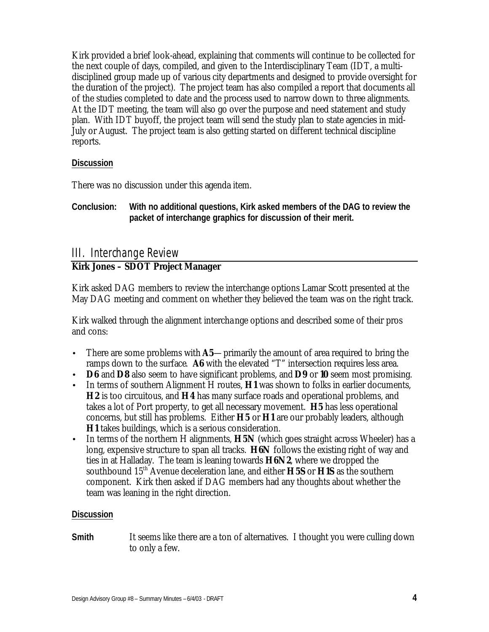Kirk provided a brief look-ahead, explaining that comments will continue to be collected for the next couple of days, compiled, and given to the Interdisciplinary Team (IDT, a multidisciplined group made up of various city departments and designed to provide oversight for the duration of the project). The project team has also compiled a report that documents all of the studies completed to date and the process used to narrow down to three alignments. At the IDT meeting, the team will also go over the purpose and need statement and study plan. With IDT buyoff, the project team will send the study plan to state agencies in mid-July or August. The project team is also getting started on different technical discipline reports.

#### **Discussion**

There was no discussion under this agenda item.

**Conclusion: With no additional questions, Kirk asked members of the DAG to review the packet of interchange graphics for discussion of their merit.** 

# III. Interchange Review

### **Kirk Jones – SDOT Project Manager**

Kirk asked DAG members to review the interchange options Lamar Scott presented at the May DAG meeting and comment on whether they believed the team was on the right track.

Kirk walked through the alignment interchange options and described some of their pros and cons:

- There are some problems with  $\overline{A5}$ —primarily the amount of area required to bring the ramps down to the surface. **A6** with the elevated "T" intersection requires less area.
- **D6** and **D8** also seem to have significant problems, and **D9** or **10** seem most promising.
- In terms of southern Alignment H routes, **H1** was shown to folks in earlier documents, **H2** is too circuitous, and **H4** has many surface roads and operational problems, and takes a lot of Port property, to get all necessary movement. **H5** has less operational concerns, but still has problems. Either **H5** or **H1** are our probably leaders, although **H1** takes buildings, which is a serious consideration.
- In terms of the northern H alignments, **H5N** (which goes straight across Wheeler) has a long, expensive structure to span all tracks. **H6N** follows the existing right of way and ties in at Halladay. The team is leaning towards **H6N2**, where we dropped the southbound 15th Avenue deceleration lane, and either **H5S** or **H1S** as the southern component. Kirk then asked if DAG members had any thoughts about whether the team was leaning in the right direction.

#### **Discussion**

**Smith** It seems like there are a ton of alternatives. I thought you were culling down to only a few.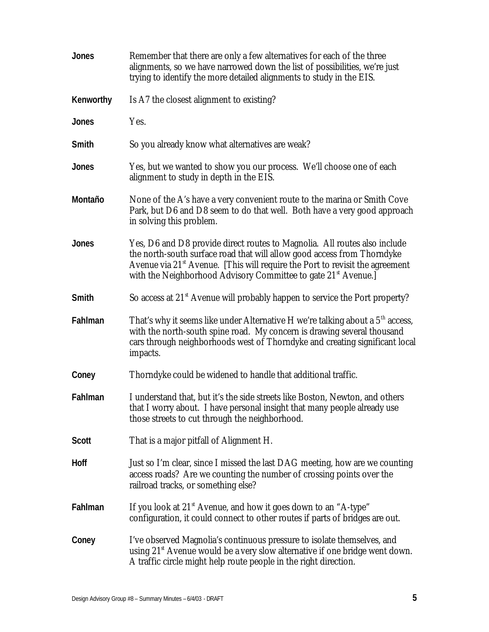| <b>Jones</b> | Remember that there are only a few alternatives for each of the three<br>alignments, so we have narrowed down the list of possibilities, we're just<br>trying to identify the more detailed alignments to study in the EIS.                                                                                         |
|--------------|---------------------------------------------------------------------------------------------------------------------------------------------------------------------------------------------------------------------------------------------------------------------------------------------------------------------|
| Kenworthy    | Is A7 the closest alignment to existing?                                                                                                                                                                                                                                                                            |
| Jones        | Yes.                                                                                                                                                                                                                                                                                                                |
| Smith        | So you already know what alternatives are weak?                                                                                                                                                                                                                                                                     |
| <b>Jones</b> | Yes, but we wanted to show you our process. We'll choose one of each<br>alignment to study in depth in the EIS.                                                                                                                                                                                                     |
| Montaño      | None of the A's have a very convenient route to the marina or Smith Cove<br>Park, but D6 and D8 seem to do that well. Both have a very good approach<br>in solving this problem.                                                                                                                                    |
| <b>Jones</b> | Yes, D6 and D8 provide direct routes to Magnolia. All routes also include<br>the north-south surface road that will allow good access from Thorndyke<br>Avenue via $21*$ Avenue. [This will require the Port to revisit the agreement<br>with the Neighborhood Advisory Committee to gate 21 <sup>st</sup> Avenue.] |
| Smith        | So access at 21 <sup>st</sup> Avenue will probably happen to service the Port property?                                                                                                                                                                                                                             |
| Fahlman      | That's why it seems like under Alternative H we're talking about a $5th$ access,<br>with the north-south spine road. My concern is drawing several thousand<br>cars through neighborhoods west of Thorndyke and creating significant local<br>impacts.                                                              |
| Coney        | Thorndyke could be widened to handle that additional traffic.                                                                                                                                                                                                                                                       |
| Fahlman      | I understand that, but it's the side streets like Boston, Newton, and others<br>that I worry about. I have personal insight that many people already use<br>those streets to cut through the neighborhood.                                                                                                          |
| <b>Scott</b> | That is a major pitfall of Alignment H.                                                                                                                                                                                                                                                                             |
| <b>Hoff</b>  | Just so I'm clear, since I missed the last DAG meeting, how are we counting<br>access roads? Are we counting the number of crossing points over the<br>railroad tracks, or something else?                                                                                                                          |
| Fahlman      | If you look at $21st$ Avenue, and how it goes down to an "A-type"<br>configuration, it could connect to other routes if parts of bridges are out.                                                                                                                                                                   |
| Coney        | I've observed Magnolia's continuous pressure to isolate themselves, and<br>using $21st$ Avenue would be a very slow alternative if one bridge went down.<br>A traffic circle might help route people in the right direction.                                                                                        |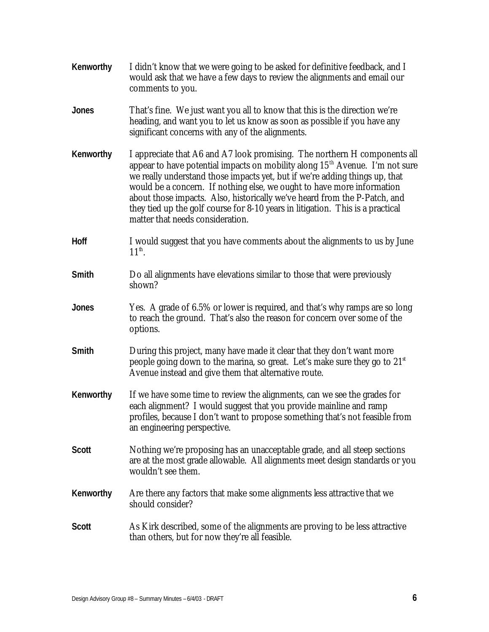| Kenworthy    | I didn't know that we were going to be asked for definitive feedback, and I<br>would ask that we have a few days to review the alignments and email our<br>comments to you.                                                                                                                                                                                                                                                                                                                                             |
|--------------|-------------------------------------------------------------------------------------------------------------------------------------------------------------------------------------------------------------------------------------------------------------------------------------------------------------------------------------------------------------------------------------------------------------------------------------------------------------------------------------------------------------------------|
| <b>Jones</b> | That's fine. We just want you all to know that this is the direction we're<br>heading, and want you to let us know as soon as possible if you have any<br>significant concerns with any of the alignments.                                                                                                                                                                                                                                                                                                              |
| Kenworthy    | I appreciate that A6 and A7 look promising. The northern H components all<br>appear to have potential impacts on mobility along $15th$ Avenue. I'm not sure<br>we really understand those impacts yet, but if we're adding things up, that<br>would be a concern. If nothing else, we ought to have more information<br>about those impacts. Also, historically we've heard from the P-Patch, and<br>they tied up the golf course for 8-10 years in litigation. This is a practical<br>matter that needs consideration. |
| Hoff         | I would suggest that you have comments about the alignments to us by June<br>$11^{th}$ .                                                                                                                                                                                                                                                                                                                                                                                                                                |
| Smith        | Do all alignments have elevations similar to those that were previously<br>shown?                                                                                                                                                                                                                                                                                                                                                                                                                                       |
| <b>Jones</b> | Yes. A grade of 6.5% or lower is required, and that's why ramps are so long<br>to reach the ground. That's also the reason for concern over some of the<br>options.                                                                                                                                                                                                                                                                                                                                                     |
| Smith        | During this project, many have made it clear that they don't want more<br>people going down to the marina, so great. Let's make sure they go to $21{st}$<br>Avenue instead and give them that alternative route.                                                                                                                                                                                                                                                                                                        |
| Kenworthy    | If we have some time to review the alignments, can we see the grades for<br>each alignment? I would suggest that you provide mainline and ramp<br>profiles, because I don't want to propose something that's not feasible from<br>an engineering perspective.                                                                                                                                                                                                                                                           |
| <b>Scott</b> | Nothing we're proposing has an unacceptable grade, and all steep sections<br>are at the most grade allowable. All alignments meet design standards or you<br>wouldn't see them.                                                                                                                                                                                                                                                                                                                                         |
| Kenworthy    | Are there any factors that make some alignments less attractive that we<br>should consider?                                                                                                                                                                                                                                                                                                                                                                                                                             |
| <b>Scott</b> | As Kirk described, some of the alignments are proving to be less attractive<br>than others, but for now they're all feasible.                                                                                                                                                                                                                                                                                                                                                                                           |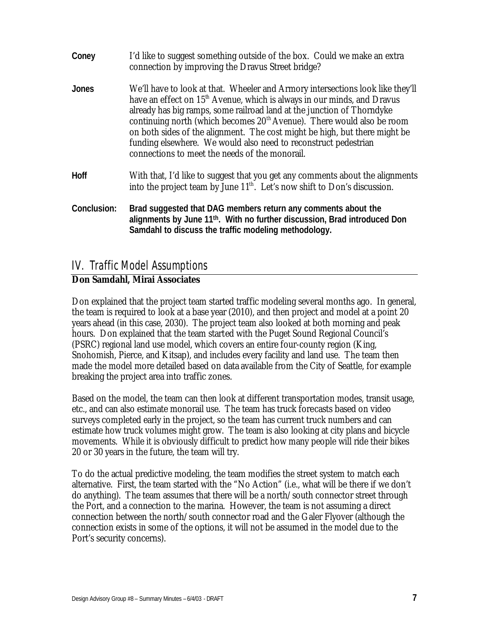| Coney       | I'd like to suggest something outside of the box. Could we make an extra<br>connection by improving the Dravus Street bridge?                                                                                                                                                                                                                                                                                                                                                                                                            |
|-------------|------------------------------------------------------------------------------------------------------------------------------------------------------------------------------------------------------------------------------------------------------------------------------------------------------------------------------------------------------------------------------------------------------------------------------------------------------------------------------------------------------------------------------------------|
| Jones       | We'll have to look at that. Wheeler and Armory intersections look like they'll<br>have an effect on 15 <sup>th</sup> Avenue, which is always in our minds, and Dravus<br>already has big ramps, some railroad land at the junction of Thorndyke<br>continuing north (which becomes 20 <sup>th</sup> Avenue). There would also be room<br>on both sides of the alignment. The cost might be high, but there might be<br>funding elsewhere. We would also need to reconstruct pedestrian<br>connections to meet the needs of the monorail. |
| <b>Hoff</b> | With that, I'd like to suggest that you get any comments about the alignments<br>into the project team by June $11th$ . Let's now shift to Don's discussion.                                                                                                                                                                                                                                                                                                                                                                             |
| Conclusion: | Brad suggested that DAG members return any comments about the<br>alignments by June 11th. With no further discussion, Brad introduced Don<br>Samdahl to discuss the traffic modeling methodology.                                                                                                                                                                                                                                                                                                                                        |

## IV. Traffic Model Assumptions

### *Don Samdahl, Mirai Associates*

Don explained that the project team started traffic modeling several months ago. In general, the team is required to look at a base year (2010), and then project and model at a point 20 years ahead (in this case, 2030). The project team also looked at both morning and peak hours. Don explained that the team started with the Puget Sound Regional Council's (PSRC) regional land use model, which covers an entire four-county region (King, Snohomish, Pierce, and Kitsap), and includes every facility and land use. The team then made the model more detailed based on data available from the City of Seattle, for example breaking the project area into traffic zones.

Based on the model, the team can then look at different transportation modes, transit usage, etc., and can also estimate monorail use. The team has truck forecasts based on video surveys completed early in the project, so the team has current truck numbers and can estimate how truck volumes might grow. The team is also looking at city plans and bicycle movements. While it is obviously difficult to predict how many people will ride their bikes 20 or 30 years in the future, the team will try.

To do the actual predictive modeling, the team modifies the street system to match each alternative. First, the team started with the "No Action" (i.e., what will be there if we don't do anything). The team assumes that there will be a north/south connector street through the Port, and a connection to the marina. However, the team is not assuming a direct connection between the north/south connector road and the Galer Flyover (although the connection exists in some of the options, it will not be assumed in the model due to the Port's security concerns).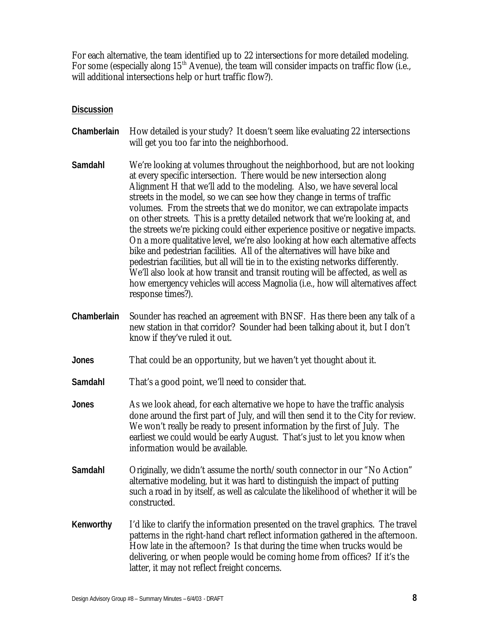For each alternative, the team identified up to 22 intersections for more detailed modeling. For some (especially along  $15<sup>th</sup>$  Avenue), the team will consider impacts on traffic flow (i.e., will additional intersections help or hurt traffic flow?).

#### **Discussion**

- **Chamberlain** How detailed is your study? It doesn't seem like evaluating 22 intersections will get you too far into the neighborhood.
- **Samdahl** We're looking at volumes throughout the neighborhood, but are not looking at every specific intersection. There would be new intersection along Alignment H that we'll add to the modeling. Also, we have several local streets in the model, so we can see how they change in terms of traffic volumes. From the streets that we do monitor, we can extrapolate impacts on other streets. This is a pretty detailed network that we're looking at, and the streets we're picking could either experience positive or negative impacts. On a more qualitative level, we're also looking at how each alternative affects bike and pedestrian facilities. All of the alternatives will have bike and pedestrian facilities, but all will tie in to the existing networks differently. We'll also look at how transit and transit routing will be affected, as well as how emergency vehicles will access Magnolia (i.e., how will alternatives affect response times?).
- **Chamberlain** Sounder has reached an agreement with BNSF. Has there been any talk of a new station in that corridor? Sounder had been talking about it, but I don't know if they've ruled it out.
- **Jones** That could be an opportunity, but we haven't yet thought about it.
- **Samdahl** That's a good point, we'll need to consider that.
- **Jones** As we look ahead, for each alternative we hope to have the traffic analysis done around the first part of July, and will then send it to the City for review. We won't really be ready to present information by the first of July. The earliest we could would be early August. That's just to let you know when information would be available.
- Samdahl Originally, we didn't assume the north/south connector in our "No Action" alternative modeling, but it was hard to distinguish the impact of putting such a road in by itself, as well as calculate the likelihood of whether it will be constructed.
- **Kenworthy** I'd like to clarify the information presented on the travel graphics. The travel patterns in the right-hand chart reflect information gathered in the afternoon. How late in the afternoon? Is that during the time when trucks would be delivering, or when people would be coming home from offices? If it's the latter, it may not reflect freight concerns.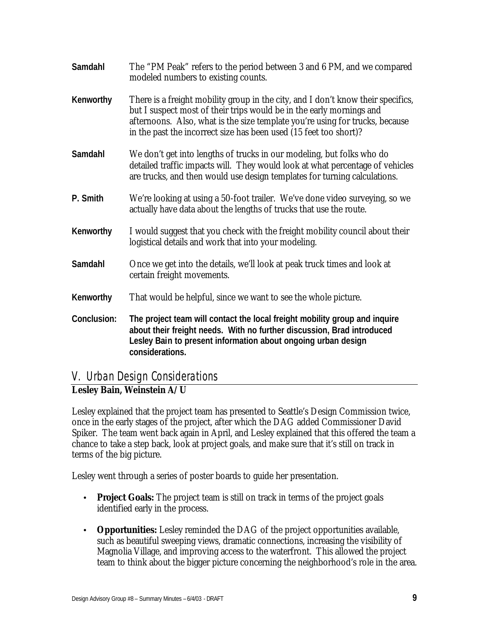| Samdahl     | The "PM Peak" refers to the period between 3 and 6 PM, and we compared<br>modeled numbers to existing counts.                                                                                                                                                                                                 |
|-------------|---------------------------------------------------------------------------------------------------------------------------------------------------------------------------------------------------------------------------------------------------------------------------------------------------------------|
| Kenworthy   | There is a freight mobility group in the city, and I don't know their specifics,<br>but I suspect most of their trips would be in the early mornings and<br>afternoons. Also, what is the size template you're using for trucks, because<br>in the past the incorrect size has been used (15 feet too short)? |
| Samdahl     | We don't get into lengths of trucks in our modeling, but folks who do<br>detailed traffic impacts will. They would look at what percentage of vehicles<br>are trucks, and then would use design templates for turning calculations.                                                                           |
| P. Smith    | We're looking at using a 50-foot trailer. We've done video surveying, so we<br>actually have data about the lengths of trucks that use the route.                                                                                                                                                             |
| Kenworthy   | I would suggest that you check with the freight mobility council about their<br>logistical details and work that into your modeling.                                                                                                                                                                          |
| Samdahl     | Once we get into the details, we'll look at peak truck times and look at<br>certain freight movements.                                                                                                                                                                                                        |
| Kenworthy   | That would be helpful, since we want to see the whole picture.                                                                                                                                                                                                                                                |
| Conclusion: | The project team will contact the local freight mobility group and inquire<br>about their freight needs. With no further discussion, Brad introduced<br>Lesley Bain to present information about ongoing urban design<br>considerations.                                                                      |

### V. Urban Design Considerations

### **Lesley Bain, Weinstein A/U**

Lesley explained that the project team has presented to Seattle's Design Commission twice, once in the early stages of the project, after which the DAG added Commissioner David Spiker. The team went back again in April, and Lesley explained that this offered the team a chance to take a step back, look at project goals, and make sure that it's still on track in terms of the big picture.

Lesley went through a series of poster boards to guide her presentation.

- **Project Goals:** The project team is still on track in terms of the project goals identified early in the process.
- **Opportunities:** Lesley reminded the DAG of the project opportunities available, such as beautiful sweeping views, dramatic connections, increasing the visibility of Magnolia Village, and improving access to the waterfront. This allowed the project team to think about the bigger picture concerning the neighborhood's role in the area.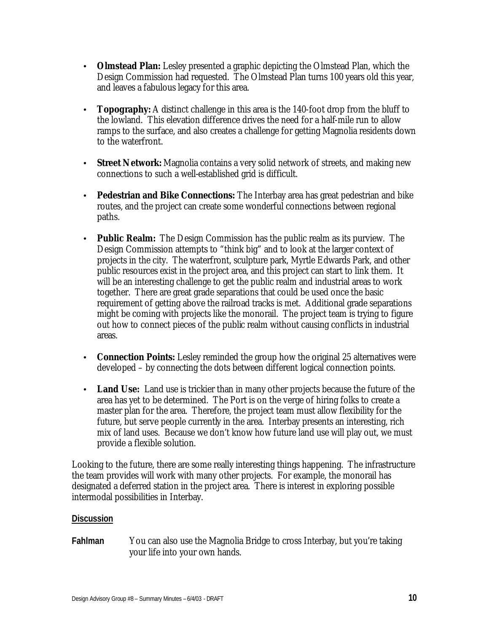- **Olmstead Plan:** Lesley presented a graphic depicting the Olmstead Plan, which the Design Commission had requested. The Olmstead Plan turns 100 years old this year, and leaves a fabulous legacy for this area.
- **Topography:** A distinct challenge in this area is the 140-foot drop from the bluff to the lowland. This elevation difference drives the need for a half-mile run to allow ramps to the surface, and also creates a challenge for getting Magnolia residents down to the waterfront.
- **Street Network:** Magnolia contains a very solid network of streets, and making new connections to such a well-established grid is difficult.
- **Pedestrian and Bike Connections:** The Interbay area has great pedestrian and bike routes, and the project can create some wonderful connections between regional paths.
- **Public Realm:** The Design Commission has the public realm as its purview. The Design Commission attempts to "think big" and to look at the larger context of projects in the city. The waterfront, sculpture park, Myrtle Edwards Park, and other public resources exist in the project area, and this project can start to link them. It will be an interesting challenge to get the public realm and industrial areas to work together. There are great grade separations that could be used once the basic requirement of getting above the railroad tracks is met. Additional grade separations might be coming with projects like the monorail. The project team is trying to figure out how to connect pieces of the public realm without causing conflicts in industrial areas.
- **Connection Points:** Lesley reminded the group how the original 25 alternatives were developed – by connecting the dots between different logical connection points.
- **Land Use:** Land use is trickier than in many other projects because the future of the area has yet to be determined. The Port is on the verge of hiring folks to create a master plan for the area. Therefore, the project team must allow flexibility for the future, but serve people currently in the area. Interbay presents an interesting, rich mix of land uses. Because we don't know how future land use will play out, we must provide a flexible solution.

Looking to the future, there are some really interesting things happening. The infrastructure the team provides will work with many other projects. For example, the monorail has designated a deferred station in the project area. There is interest in exploring possible intermodal possibilities in Interbay.

#### **Discussion**

**Fahlman** You can also use the Magnolia Bridge to cross Interbay, but you're taking your life into your own hands.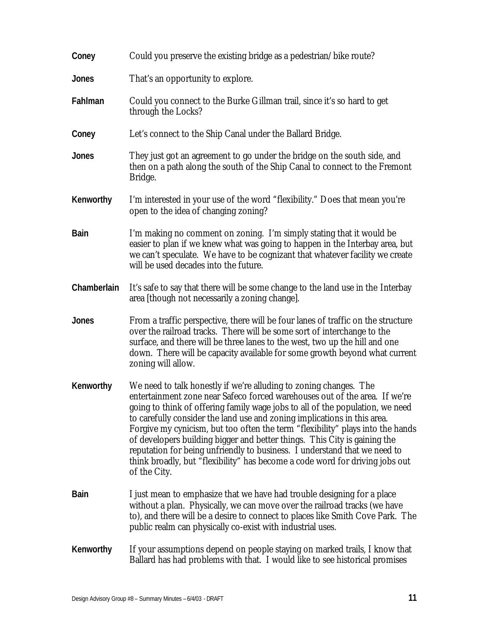| Coney       | Could you preserve the existing bridge as a pedestrian/bike route?                                                                                                                                                                                                                                                                                                                                                                                                                                                                                                                                                                                       |
|-------------|----------------------------------------------------------------------------------------------------------------------------------------------------------------------------------------------------------------------------------------------------------------------------------------------------------------------------------------------------------------------------------------------------------------------------------------------------------------------------------------------------------------------------------------------------------------------------------------------------------------------------------------------------------|
| Jones       | That's an opportunity to explore.                                                                                                                                                                                                                                                                                                                                                                                                                                                                                                                                                                                                                        |
| Fahlman     | Could you connect to the Burke Gillman trail, since it's so hard to get<br>through the Locks?                                                                                                                                                                                                                                                                                                                                                                                                                                                                                                                                                            |
| Coney       | Let's connect to the Ship Canal under the Ballard Bridge.                                                                                                                                                                                                                                                                                                                                                                                                                                                                                                                                                                                                |
| Jones       | They just got an agreement to go under the bridge on the south side, and<br>then on a path along the south of the Ship Canal to connect to the Fremont<br>Bridge.                                                                                                                                                                                                                                                                                                                                                                                                                                                                                        |
| Kenworthy   | I'm interested in your use of the word "flexibility." Does that mean you're<br>open to the idea of changing zoning?                                                                                                                                                                                                                                                                                                                                                                                                                                                                                                                                      |
| <b>Bain</b> | I'm making no comment on zoning. I'm simply stating that it would be<br>easier to plan if we knew what was going to happen in the Interbay area, but<br>we can't speculate. We have to be cognizant that whatever facility we create<br>will be used decades into the future.                                                                                                                                                                                                                                                                                                                                                                            |
| Chamberlain | It's safe to say that there will be some change to the land use in the Interbay<br>area [though not necessarily a zoning change].                                                                                                                                                                                                                                                                                                                                                                                                                                                                                                                        |
| Jones       | From a traffic perspective, there will be four lanes of traffic on the structure<br>over the railroad tracks. There will be some sort of interchange to the<br>surface, and there will be three lanes to the west, two up the hill and one<br>down. There will be capacity available for some growth beyond what current<br>zoning will allow.                                                                                                                                                                                                                                                                                                           |
| Kenworthy   | We need to talk honestly if we're alluding to zoning changes. The<br>entertainment zone near Safeco forced warehouses out of the area. If we're<br>going to think of offering family wage jobs to all of the population, we need<br>to carefully consider the land use and zoning implications in this area.<br>Forgive my cynicism, but too often the term "flexibility" plays into the hands<br>of developers building bigger and better things. This City is gaining the<br>reputation for being unfriendly to business. I understand that we need to<br>think broadly, but "flexibility" has become a code word for driving jobs out<br>of the City. |
| <b>Bain</b> | I just mean to emphasize that we have had trouble designing for a place<br>without a plan. Physically, we can move over the railroad tracks (we have<br>to), and there will be a desire to connect to places like Smith Cove Park. The<br>public realm can physically co-exist with industrial uses.                                                                                                                                                                                                                                                                                                                                                     |
| Kenworthy   | If your assumptions depend on people staying on marked trails, I know that<br>Ballard has had problems with that. I would like to see historical promises                                                                                                                                                                                                                                                                                                                                                                                                                                                                                                |